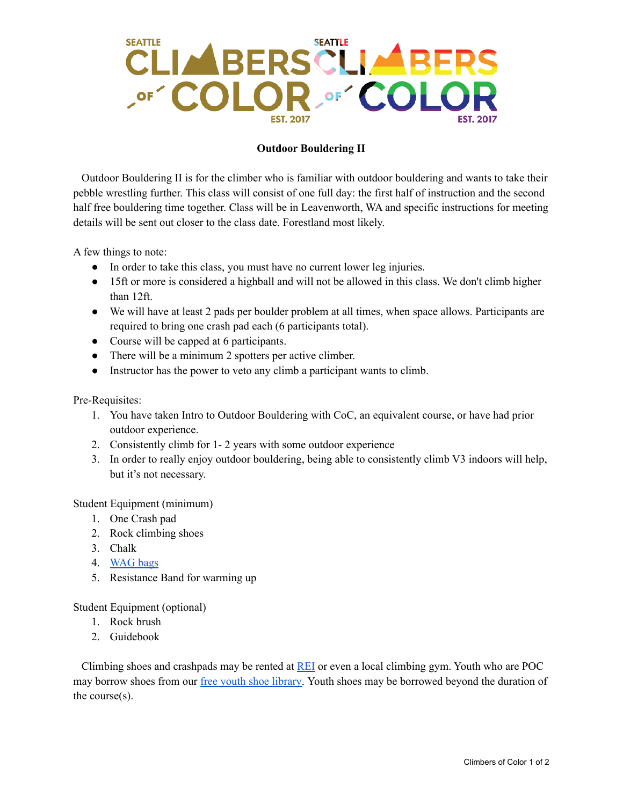## CLIMBERS CLIMBERS **SEATTLE**

## **Outdoor Bouldering II**

Outdoor Bouldering II is for the climber who is familiar with outdoor bouldering and wants to take their pebble wrestling further. This class will consist of one full day: the first half of instruction and the second half free bouldering time together. Class will be in Leavenworth, WA and specific instructions for meeting details will be sent out closer to the class date. Forestland most likely.

A few things to note:

- In order to take this class, you must have no current lower leg injuries.
- 15ft or more is considered a highball and will not be allowed in this class. We don't climb higher than 12ft.
- We will have at least 2 pads per boulder problem at all times, when space allows. Participants are required to bring one crash pad each (6 participants total).
- Course will be capped at 6 participants.
- There will be a minimum 2 spotters per active climber.
- Instructor has the power to veto any climb a participant wants to climb.

Pre-Requisites:

- 1. You have taken Intro to Outdoor Bouldering with CoC, an equivalent course, or have had prior outdoor experience.
- 2. Consistently climb for 1- 2 years with some outdoor experience
- 3. In order to really enjoy outdoor bouldering, being able to consistently climb V3 indoors will help, but it's not necessary.

Student Equipment (minimum)

- 1. One Crash pad
- 2. Rock climbing shoes
- 3. Chalk
- 4. [WAG](https://www.rei.com/product/692303/cleanwaste-go-anywhere-toilet-kit-waste-bag) bags
- 5. Resistance Band for warming up

Student Equipment (optional)

- 1. Rock brush
- 2. Guidebook

Climbing shoes and crashpads may be rented at [REI](https://www.rei.com/rentals/pricing) or even a local climbing gym. Youth who are POC may borrow shoes from our free youth shoe [library.](https://docs.google.com/forms/d/e/1FAIpQLSfXzbdDIVdQdnwKrVZ_U77k5tIJo3tCmvgN1w3NsC-AKnERFQ/viewform) Youth shoes may be borrowed beyond the duration of the course(s).